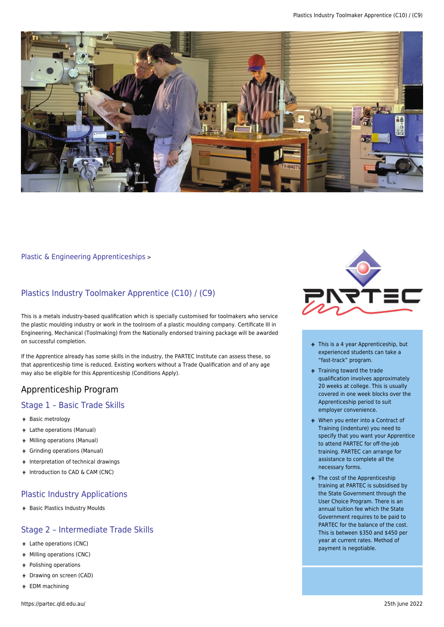

#### [Plastic & Engineering Apprenticeships](https://partec.qld.edu.au/plastic-engineering-apprenticeships/) >

## Plastics Industry Toolmaker Apprentice (C10) / (C9)

This is a metals industry-based qualification which is specially customised for toolmakers who service the plastic moulding industry or work in the toolroom of a plastic moulding company. Certificate III in Engineering, Mechanical (Toolmaking) from the Nationally endorsed training package will be awarded on successful completion.

If the Apprentice already has some skills in the industry, the PARTEC Institute can assess these, so that apprenticeship time is reduced. Existing workers without a Trade Qualification and of any age may also be eligible for this Apprenticeship (Conditions Apply).

### Apprenticeship Program

#### Stage 1 – Basic Trade Skills

- + Basic metrology
- Lathe operations (Manual)
- Milling operations (Manual)
- Grinding operations (Manual) ÷.
- + Interpretation of technical drawings
- + Introduction to CAD & CAM (CNC)

#### Plastic Industry Applications

+ Basic Plastics Industry Moulds

### Stage 2 – Intermediate Trade Skills

- + Lathe operations (CNC)
- Milling operations (CNC)
- Polishing operations
- + Drawing on screen (CAD)
- EDM machining



- + This is a 4 year Apprenticeship, but experienced students can take a "fast-track" program.
- + Training toward the trade qualification involves approximately 20 weeks at college. This is usually covered in one week blocks over the Apprenticeship period to suit employer convenience.
- When you enter into a Contract of Training (indenture) you need to specify that you want your Apprentice to attend PARTEC for off-the-job training. PARTEC can arrange for assistance to complete all the necessary forms.
- + The cost of the Apprenticeship training at PARTEC is subsidised by the State Government through the User Choice Program. There is an annual tuition fee which the State Government requires to be paid to PARTEC for the balance of the cost. This is between \$350 and \$450 per year at current rates. Method of payment is negotiable.